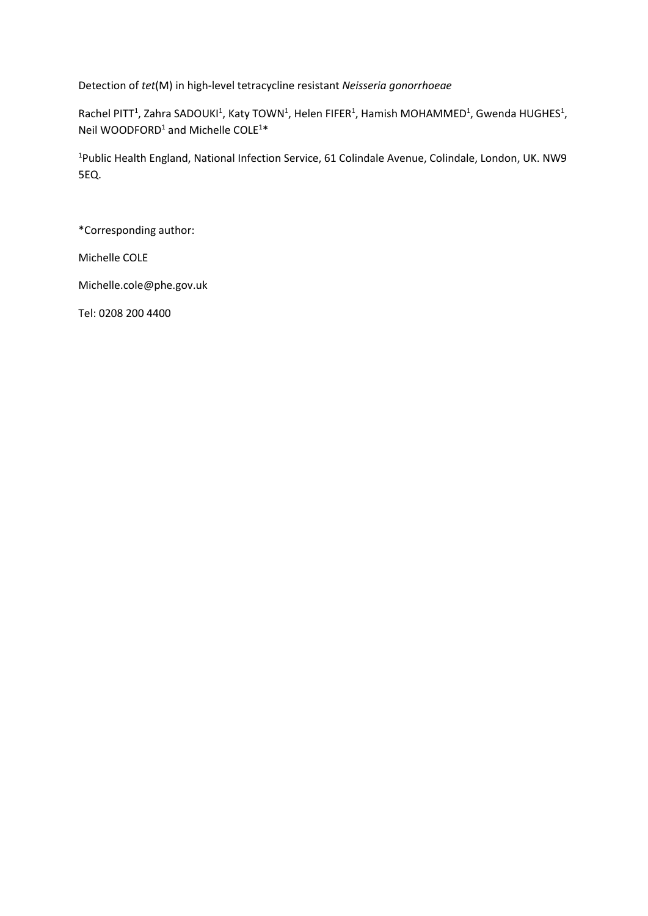Detection of *tet*(M) in high-level tetracycline resistant *Neisseria gonorrhoeae*

Rachel PITT<sup>1</sup>, Zahra SADOUKI<sup>1</sup>, Katy TOWN<sup>1</sup>, Helen FIFER<sup>1</sup>, Hamish MOHAMMED<sup>1</sup>, Gwenda HUGHES<sup>1</sup>, Neil WOODFORD<sup>1</sup> and Michelle COLE<sup>1\*</sup>

<sup>1</sup>Public Health England, National Infection Service, 61 Colindale Avenue, Colindale, London, UK. NW9 5EQ.

\*Corresponding author:

Michelle COLE

Michelle.cole@phe.gov.uk

Tel: 0208 200 4400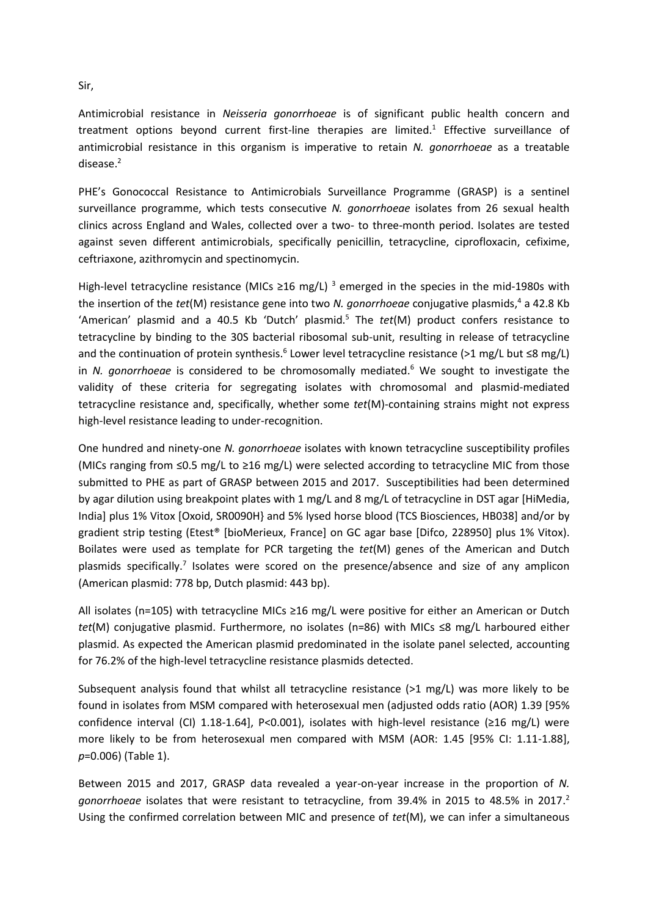Antimicrobial resistance in *Neisseria gonorrhoeae* is of significant public health concern and treatment options beyond current first-line therapies are limited. <sup>1</sup> Effective surveillance of antimicrobial resistance in this organism is imperative to retain *N. gonorrhoeae* as a treatable disease. 2

PHE's Gonococcal Resistance to Antimicrobials Surveillance Programme (GRASP) is a sentinel surveillance programme, which tests consecutive *N. gonorrhoeae* isolates from 26 sexual health clinics across England and Wales, collected over a two- to three-month period. Isolates are tested against seven different antimicrobials, specifically penicillin, tetracycline, ciprofloxacin, cefixime, ceftriaxone, azithromycin and spectinomycin.

High-level tetracycline resistance (MICs  $\geq$ 16 mg/L)<sup>3</sup> emerged in the species in the mid-1980s with the insertion of the *tet*(M) resistance gene into two *N. gonorrhoeae* conjugative plasmids, <sup>4</sup> a 42.8 Kb 'American' plasmid and a 40.5 Kb 'Dutch' plasmid. <sup>5</sup> The *tet*(M) product confers resistance to tetracycline by binding to the 30S bacterial ribosomal sub-unit, resulting in release of tetracycline and the continuation of protein synthesis.<sup>6</sup> Lower level tetracycline resistance (>1 mg/L but ≤8 mg/L) in *N. gonorrhoeae* is considered to be chromosomally mediated. <sup>6</sup> We sought to investigate the validity of these criteria for segregating isolates with chromosomal and plasmid-mediated tetracycline resistance and, specifically, whether some *tet*(M)-containing strains might not express high-level resistance leading to under-recognition.

One hundred and ninety-one *N. gonorrhoeae* isolates with known tetracycline susceptibility profiles (MICs ranging from ≤0.5 mg/L to ≥16 mg/L) were selected according to tetracycline MIC from those submitted to PHE as part of GRASP between 2015 and 2017. Susceptibilities had been determined by agar dilution using breakpoint plates with 1 mg/L and 8 mg/L of tetracycline in DST agar [HiMedia, India] plus 1% Vitox [Oxoid, SR0090H} and 5% lysed horse blood (TCS Biosciences, HB038] and/or by gradient strip testing (Etest® [bioMerieux, France] on GC agar base [Difco, 228950] plus 1% Vitox). Boilates were used as template for PCR targeting the *tet*(M) genes of the American and Dutch plasmids specifically.<sup>7</sup> Isolates were scored on the presence/absence and size of any amplicon (American plasmid: 778 bp, Dutch plasmid: 443 bp).

All isolates (n=105) with tetracycline MICs ≥16 mg/L were positive for either an American or Dutch *tet*(M) conjugative plasmid. Furthermore, no isolates (n=86) with MICs ≤8 mg/L harboured either plasmid. As expected the American plasmid predominated in the isolate panel selected, accounting for 76.2% of the high-level tetracycline resistance plasmids detected.

Subsequent analysis found that whilst all tetracycline resistance (>1 mg/L) was more likely to be found in isolates from MSM compared with heterosexual men (adjusted odds ratio (AOR) 1.39 [95% confidence interval (CI) 1.18-1.64], P<0.001), isolates with high-level resistance (≥16 mg/L) were more likely to be from heterosexual men compared with MSM (AOR: 1.45 [95% CI: 1.11-1.88], *p*=0.006) (Table 1).

Between 2015 and 2017, GRASP data revealed a year-on-year increase in the proportion of *N. gonorrhoeae* isolates that were resistant to tetracycline, from 39.4% in 2015 to 48.5% in 2017. 2 Using the confirmed correlation between MIC and presence of *tet*(M), we can infer a simultaneous

Sir,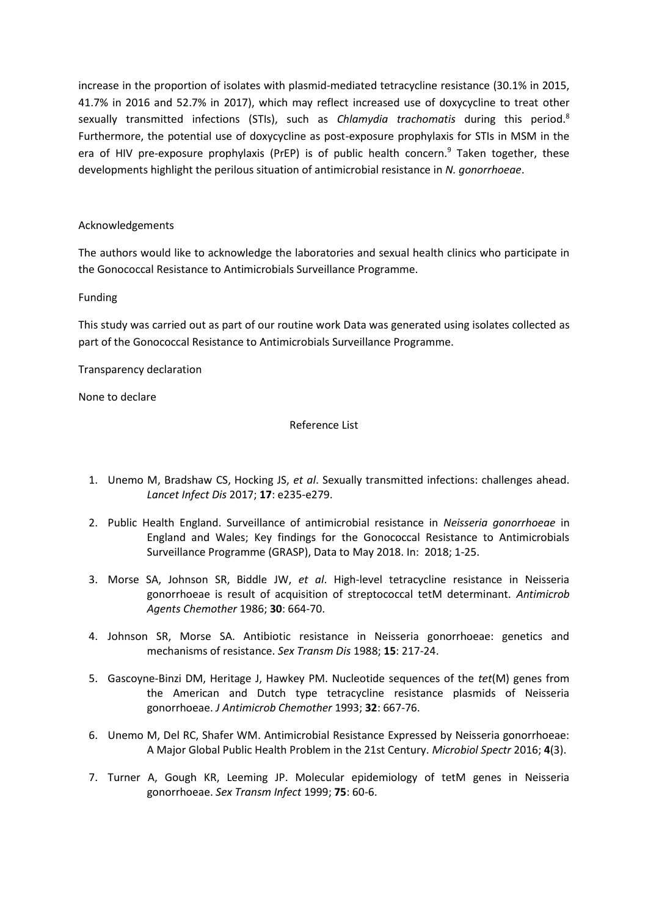increase in the proportion of isolates with plasmid-mediated tetracycline resistance (30.1% in 2015, 41.7% in 2016 and 52.7% in 2017), which may reflect increased use of doxycycline to treat other sexually transmitted infections (STIs), such as *Chlamydia trachomatis* during this period. 8 Furthermore, the potential use of doxycycline as post-exposure prophylaxis for STIs in MSM in the era of HIV pre-exposure prophylaxis (PrEP) is of public health concern.<sup>9</sup> Taken together, these developments highlight the perilous situation of antimicrobial resistance in *N. gonorrhoeae*.

## Acknowledgements

The authors would like to acknowledge the laboratories and sexual health clinics who participate in the Gonococcal Resistance to Antimicrobials Surveillance Programme.

## Funding

This study was carried out as part of our routine work Data was generated using isolates collected as part of the Gonococcal Resistance to Antimicrobials Surveillance Programme.

Transparency declaration

None to declare

Reference List

- 1. Unemo M, Bradshaw CS, Hocking JS, *et al*. Sexually transmitted infections: challenges ahead. *Lancet Infect Dis* 2017; **17**: e235-e279.
- 2. Public Health England. Surveillance of antimicrobial resistance in *Neisseria gonorrhoeae* in England and Wales; Key findings for the Gonococcal Resistance to Antimicrobials Surveillance Programme (GRASP), Data to May 2018. In: 2018; 1-25.
- 3. Morse SA, Johnson SR, Biddle JW, *et al*. High-level tetracycline resistance in Neisseria gonorrhoeae is result of acquisition of streptococcal tetM determinant. *Antimicrob Agents Chemother* 1986; **30**: 664-70.
- 4. Johnson SR, Morse SA. Antibiotic resistance in Neisseria gonorrhoeae: genetics and mechanisms of resistance. *Sex Transm Dis* 1988; **15**: 217-24.
- 5. Gascoyne-Binzi DM, Heritage J, Hawkey PM. Nucleotide sequences of the *tet*(M) genes from the American and Dutch type tetracycline resistance plasmids of Neisseria gonorrhoeae. *J Antimicrob Chemother* 1993; **32**: 667-76.
- 6. Unemo M, Del RC, Shafer WM. Antimicrobial Resistance Expressed by Neisseria gonorrhoeae: A Major Global Public Health Problem in the 21st Century. *Microbiol Spectr* 2016; **4**(3).
- 7. Turner A, Gough KR, Leeming JP. Molecular epidemiology of tetM genes in Neisseria gonorrhoeae. *Sex Transm Infect* 1999; **75**: 60-6.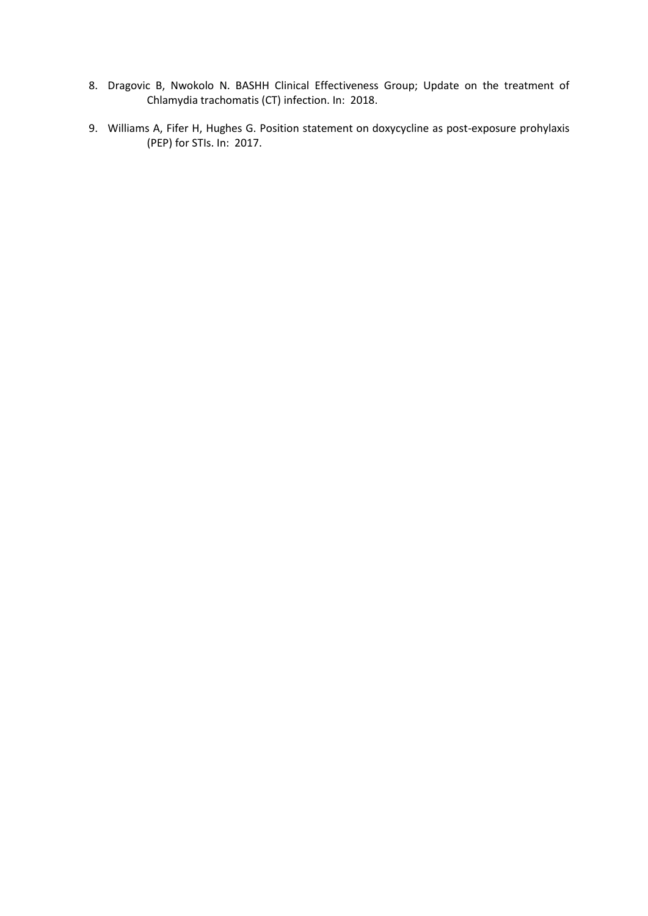- 8. Dragovic B, Nwokolo N. BASHH Clinical Effectiveness Group; Update on the treatment of Chlamydia trachomatis (CT) infection. In: 2018.
- 9. Williams A, Fifer H, Hughes G. Position statement on doxycycline as post-exposure prohylaxis (PEP) for STIs. In: 2017.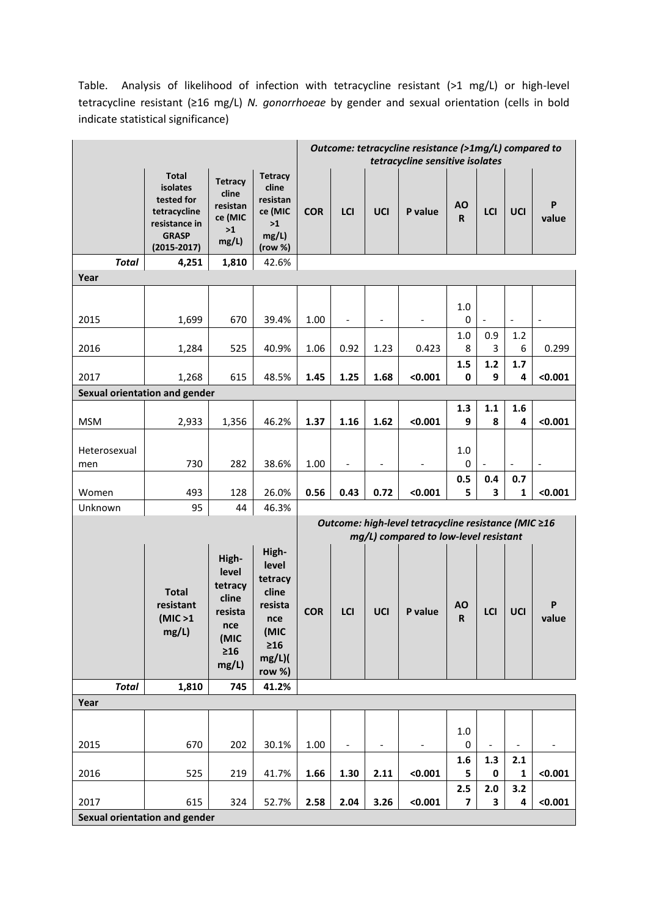Table. Analysis of likelihood of infection with tetracycline resistant (>1 mg/L) or high-level tetracycline resistant (≥16 mg/L) *N. gonorrhoeae* by gender and sexual orientation (cells in bold indicate statistical significance)

|                                      |                                                                                                                   |                                                                                       |                                                                                               | Outcome: tetracycline resistance (>1mg/L) compared to<br>tetracycline sensitive isolates |                              |                          |                          |                          |            |                              |                          |
|--------------------------------------|-------------------------------------------------------------------------------------------------------------------|---------------------------------------------------------------------------------------|-----------------------------------------------------------------------------------------------|------------------------------------------------------------------------------------------|------------------------------|--------------------------|--------------------------|--------------------------|------------|------------------------------|--------------------------|
|                                      | <b>Total</b><br><b>isolates</b><br>tested for<br>tetracycline<br>resistance in<br><b>GRASP</b><br>$(2015 - 2017)$ | <b>Tetracy</b><br>cline<br>resistan<br>ce (MIC<br>$>1$<br>$mg/L$ )                    | <b>Tetracy</b><br>cline<br>resistan<br>ce (MIC<br>>1<br>$mg/L$ )<br>(row %)                   | <b>COR</b>                                                                               | LCI                          | UCI                      | P value                  | AO<br>R                  | LCI        | UCI                          | P<br>value               |
| <b>Total</b>                         | 4,251                                                                                                             | 1,810                                                                                 | 42.6%                                                                                         |                                                                                          |                              |                          |                          |                          |            |                              |                          |
| Year                                 |                                                                                                                   |                                                                                       |                                                                                               |                                                                                          |                              |                          |                          |                          |            |                              |                          |
| 2015                                 | 1,699                                                                                                             | 670                                                                                   | 39.4%                                                                                         | 1.00                                                                                     |                              |                          |                          | 1.0<br>0                 |            | $\qquad \qquad \blacksquare$ | $\overline{\phantom{a}}$ |
| 2016                                 | 1,284                                                                                                             | 525                                                                                   | 40.9%                                                                                         | 1.06                                                                                     | 0.92                         | 1.23                     | 0.423                    | 1.0<br>8                 | 0.9<br>3   | 1.2<br>6                     | 0.299                    |
| 2017                                 | 1,268                                                                                                             | 615                                                                                   | 48.5%                                                                                         | 1.45                                                                                     | 1.25                         | 1.68                     | < 0.001                  | 1.5<br>$\mathbf 0$       | $1.2$<br>9 | 1.7<br>4                     | < 0.001                  |
| <b>Sexual orientation and gender</b> |                                                                                                                   |                                                                                       |                                                                                               |                                                                                          |                              |                          |                          |                          |            |                              |                          |
| <b>MSM</b>                           | 2,933                                                                                                             | 1,356                                                                                 | 46.2%                                                                                         | 1.37                                                                                     | 1.16                         | 1.62                     | < 0.001                  | 1.3<br>9                 | 1.1<br>8   | 1.6<br>4                     | < 0.001                  |
| Heterosexual<br>men                  | 730                                                                                                               | 282                                                                                   | 38.6%                                                                                         | 1.00                                                                                     | $\qquad \qquad \blacksquare$ | $\overline{\phantom{a}}$ |                          | 1.0<br>0                 |            | $\overline{a}$               | $\overline{\phantom{a}}$ |
| Women                                | 493                                                                                                               | 128                                                                                   | 26.0%                                                                                         | 0.56                                                                                     | 0.43                         | 0.72                     | < 0.001                  | 0.5<br>5                 | 0.4<br>3   | 0.7<br>1                     | < 0.001                  |
| Unknown                              | 95                                                                                                                | 44                                                                                    | 46.3%                                                                                         |                                                                                          |                              |                          |                          |                          |            |                              |                          |
|                                      | Outcome: high-level tetracycline resistance (MIC ≥16<br>mg/L) compared to low-level resistant                     |                                                                                       |                                                                                               |                                                                                          |                              |                          |                          |                          |            |                              |                          |
|                                      | <b>Total</b><br>resistant<br>(MIC > 1)<br>mg/L)                                                                   | High-<br>level<br>tetracy<br>cline<br>resista<br>nce<br>(MIC<br>$\geq$ 16<br>$mg/L$ ) | High-<br>level<br>tetracy<br>cline<br>resista<br>nce<br>(MIC<br>$\geq 16$<br>mg/L)(<br>row %) | <b>COR</b>                                                                               | LCI                          | UCI                      | P value                  | <b>AO</b><br>$\mathsf R$ | LCI        | UCI                          | P<br>value               |
| <b>Total</b>                         | 1,810                                                                                                             | 745                                                                                   | 41.2%                                                                                         |                                                                                          |                              |                          |                          |                          |            |                              |                          |
| Year                                 |                                                                                                                   |                                                                                       |                                                                                               |                                                                                          |                              |                          |                          |                          |            |                              |                          |
| 2015                                 | 670                                                                                                               | 202                                                                                   | 30.1%                                                                                         | 1.00                                                                                     |                              | $\overline{\phantom{0}}$ | $\overline{\phantom{0}}$ | $1.0\,$<br>0             |            |                              |                          |
|                                      |                                                                                                                   |                                                                                       |                                                                                               |                                                                                          |                              |                          |                          | 1.6                      | 1.3        | 2.1                          |                          |
| 2016                                 | 525                                                                                                               | 219                                                                                   | 41.7%                                                                                         | 1.66                                                                                     | 1.30                         | 2.11                     | < 0.001                  | 5<br>2.5                 | 0<br>$2.0$ | 1<br>3.2                     | < 0.001                  |
| 2017                                 | 615                                                                                                               | 324                                                                                   | 52.7%                                                                                         | 2.58                                                                                     | 2.04                         | 3.26                     | < 0.001                  | $\overline{\mathbf{z}}$  | 3          | 4                            | < 0.001                  |
| <b>Sexual orientation and gender</b> |                                                                                                                   |                                                                                       |                                                                                               |                                                                                          |                              |                          |                          |                          |            |                              |                          |